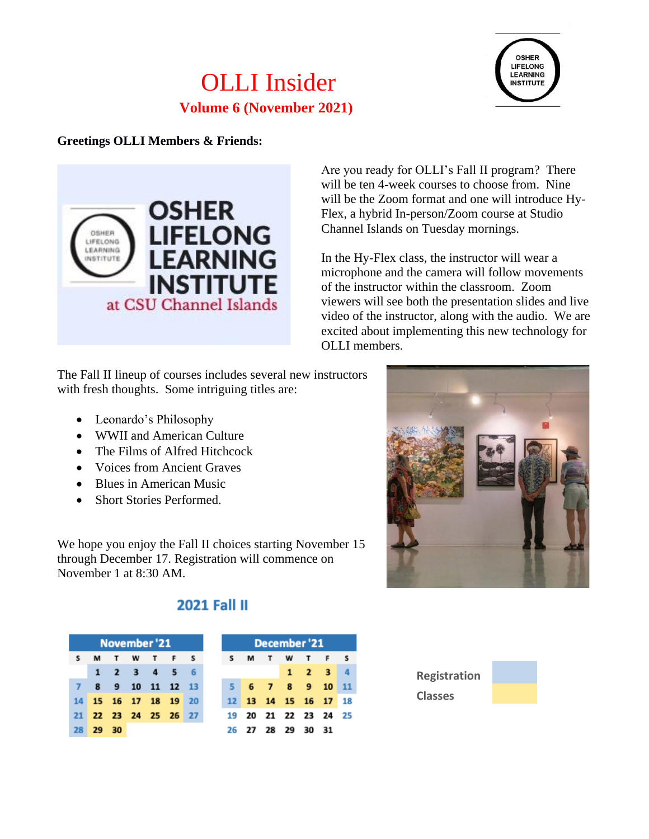# OLLI Insider **Volume 6 (November 2021)**



### **Greetings OLLI Members & Friends:**



Are you ready for OLLI's Fall II program? There will be ten 4-week courses to choose from. Nine will be the Zoom format and one will introduce Hy-Flex, a hybrid In-person/Zoom course at Studio Channel Islands on Tuesday mornings.

In the Hy-Flex class, the instructor will wear a microphone and the camera will follow movements of the instructor within the classroom. Zoom viewers will see both the presentation slides and live video of the instructor, along with the audio. We are excited about implementing this new technology for OLLI members.

The Fall II lineup of courses includes several new instructors with fresh thoughts. Some intriguing titles are:

- Leonardo's Philosophy
- WWII and American Culture
- The Films of Alfred Hitchcock
- Voices from Ancient Graves
- Blues in American Music
- Short Stories Performed.

 ${\sf s}$ 

 $\overline{7}$ 

14

21

28

We hope you enjoy the Fall II choices starting November 15 through December 17. Registration will commence on November 1 at 8:30 AM.



## **2021 Fall II**

|       | November '21 |                   |  |
|-------|--------------|-------------------|--|
|       |              | <b>MTWTFS</b>     |  |
|       |              | 1 2 3 4 5 6       |  |
|       |              | 8 9 10 11 12 13   |  |
|       |              | 15 16 17 18 19 20 |  |
|       |              | 22 23 24 25 26 27 |  |
| 29 30 |              |                   |  |

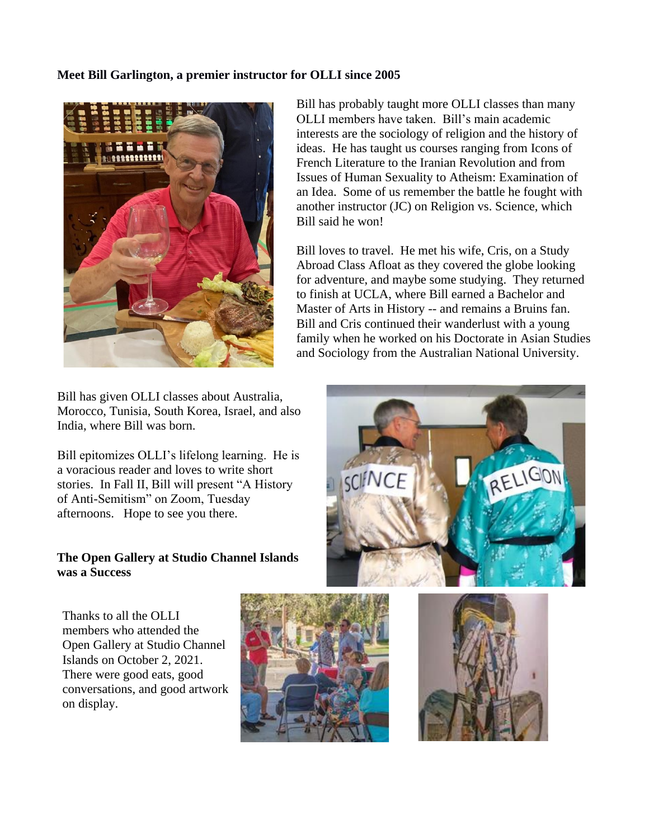#### **Meet Bill Garlington, a premier instructor for OLLI since 2005**



Bill has given OLLI classes about Australia, Morocco, Tunisia, South Korea, Israel, and also India, where Bill was born.

Bill epitomizes OLLI's lifelong learning. He is a voracious reader and loves to write short stories. In Fall II, Bill will present "A History of Anti-Semitism" on Zoom, Tuesday afternoons. Hope to see you there.

#### **The Open Gallery at Studio Channel Islands was a Success**

Thanks to all the OLLI members who attended the Open Gallery at Studio Channel Islands on October 2, 2021. There were good eats, good conversations, and good artwork on display.



Bill has probably taught more OLLI classes than many OLLI members have taken. Bill's main academic interests are the sociology of religion and the history of ideas. He has taught us courses ranging from Icons of French Literature to the Iranian Revolution and from Issues of Human Sexuality to Atheism: Examination of an Idea. Some of us remember the battle he fought with another instructor (JC) on Religion vs. Science, which Bill said he won!

Bill loves to travel. He met his wife, Cris, on a Study Abroad Class Afloat as they covered the globe looking for adventure, and maybe some studying. They returned to finish at UCLA, where Bill earned a Bachelor and Master of Arts in History -- and remains a Bruins fan. Bill and Cris continued their wanderlust with a young family when he worked on his Doctorate in Asian Studies and Sociology from the Australian National University.